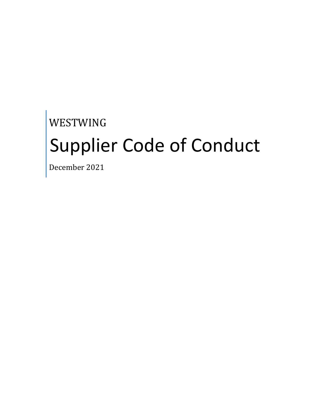# WESTWING

# Supplier Code of Conduct

December 2021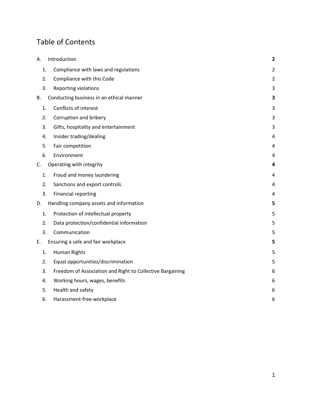# Table of Contents

| А. | Introduction                                                    | $\overline{\mathbf{c}}$ |
|----|-----------------------------------------------------------------|-------------------------|
| 1. | Compliance with laws and regulations                            | $\overline{2}$          |
|    | Compliance with this Code<br>2.                                 | $\overline{2}$          |
|    | 3.<br>Reporting violations                                      | 3                       |
| В. | Conducting business in an ethical manner                        | 3                       |
|    | Conflicts of interest<br>1.                                     | 3                       |
|    | Corruption and bribery<br>2.                                    | 3                       |
|    | Gifts, hospitality and entertainment<br>3.                      | 3                       |
| 4. | Insider trading/dealing                                         | 4                       |
| 5. | Fair competition                                                | 4                       |
| 6. | Environment                                                     | 4                       |
| C. | Operating with integrity                                        | 4                       |
|    | Fraud and money laundering<br>1.                                | 4                       |
| 2. | Sanctions and export controls                                   | 4                       |
|    | 3.<br><b>Financial reporting</b>                                | 4                       |
| D. | Handling company assets and information                         | 5                       |
|    | Protection of intellectual property<br>1.                       | 5                       |
|    | Data protection/confidential information<br>2.                  | 5                       |
| 3. | Communication                                                   | 5                       |
| E. | Ensuring a safe and fair workplace                              | 5                       |
|    | Human Rights<br>1.                                              | 5                       |
|    | Equal opportunities/discrimination<br>2.                        | 5                       |
|    | Freedom of Association and Right to Collective Bargaining<br>3. | 6                       |
| 4. | Working hours, wages, benefits                                  | 6                       |
| 5. | Health and safety                                               | 6                       |
| 6. | Harassment-free workplace                                       | 6                       |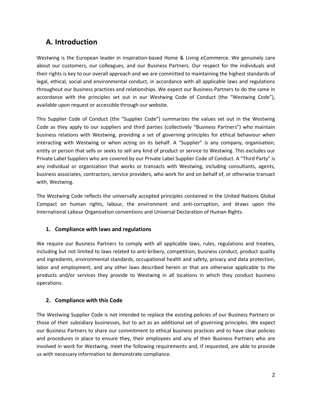# <span id="page-2-0"></span>**A. Introduction**

Westwing is the European leader in inspiration-based Home & Living eCommerce. We genuinely care about our customers, our colleagues, and our Business Partners. Our respect for the individuals and their rights is key to our overall approach and we are committed to maintaining the highest standards of legal, ethical, social and environmental conduct, in accordance with all applicable laws and regulations throughout our business practices and relationships. We expect our Business Partners to do the same in accordance with the principles set out in our Westwing Code of Conduct (the "Westwing Code"), available upon request or accessible through our website.

This Supplier Code of Conduct (the "Supplier Code") summarizes the values set out in the Westwing Code as they apply to our suppliers and third parties (collectively "Business Partners") who maintain business relations with Westwing, providing a set of governing principles for ethical behaviour when interacting with Westwing or when acting on its behalf. A "Supplier" is any company, organisation, entity or person that sells or seeks to sell any kind of product or service to Westwing. This excludes our Private Label Suppliers who are covered by our Private Label Supplier Code of Conduct. A "Third Party" is any individual or organization that works or transacts with Westwing, including consultants, agents, business associates, contractors, service providers, who work for and on behalf of, or otherwise transact with, Westwing.

The Westwing Code reflects the universally accepted principles contained in the United Nations Global Compact on human rights, labour, the environment and anti-corruption, and draws upon the International Labour Organization conventions and Universal Declaration of Human Rights.

#### <span id="page-2-1"></span>**1. Compliance with laws and regulations**

We require our Business Partners to comply with all applicable laws, rules, regulations and treaties, including but not limited to laws related to anti-bribery, competition, business conduct, product quality and ingredients, environmental standards, occupational health and safety, privacy and data protection, labor and employment, and any other laws described herein or that are otherwise applicable to the products and/or services they provide to Westwing in all locations in which they conduct business operations.

#### <span id="page-2-2"></span>**2. Compliance with this Code**

The Westwing Supplier Code is not intended to replace the existing policies of our Business Partners or those of their subsidiary businesses, but to act as an additional set of governing principles. We expect our Business Partners to share our commitment to ethical business practices and to have clear policies and procedures in place to ensure they, their employees and any of their Business Partners who are involved in work for Westwing, meet the following requirements and, if requested, are able to provide us with necessary information to demonstrate compliance.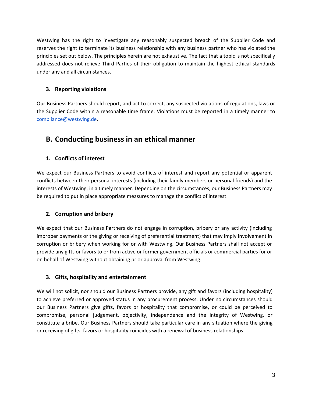Westwing has the right to investigate any reasonably suspected breach of the Supplier Code and reserves the right to terminate its business relationship with any business partner who has violated the principles set out below. The principles herein are not exhaustive. The fact that a topic is not specifically addressed does not relieve Third Parties of their obligation to maintain the highest ethical standards under any and all circumstances.

#### <span id="page-3-0"></span>**3. Reporting violations**

Our Business Partners should report, and act to correct, any suspected violations of regulations, laws or the Supplier Code within a reasonable time frame. Violations must be reported in a timely manner to [compliance@westwing.de.](mailto:compliance@westwing.de)

### <span id="page-3-1"></span>**B. Conducting business in an ethical manner**

#### <span id="page-3-2"></span>**1. Conflicts of interest**

We expect our Business Partners to avoid conflicts of interest and report any potential or apparent conflicts between their personal interests (including their family members or personal friends) and the interests of Westwing, in a timely manner. Depending on the circumstances, our Business Partners may be required to put in place appropriate measures to manage the conflict of interest.

#### <span id="page-3-3"></span>**2. Corruption and bribery**

We expect that our Business Partners do not engage in corruption, bribery or any activity (including improper payments or the giving or receiving of preferential treatment) that may imply involvement in corruption or bribery when working for or with Westwing. Our Business Partners shall not accept or provide any gifts or favors to or from active or former government officials or commercial parties for or on behalf of Westwing without obtaining prior approval from Westwing.

#### <span id="page-3-4"></span>**3. Gifts, hospitality and entertainment**

We will not solicit, nor should our Business Partners provide, any gift and favors (including hospitality) to achieve preferred or approved status in any procurement process. Under no circumstances should our Business Partners give gifts, favors or hospitality that compromise, or could be perceived to compromise, personal judgement, objectivity, independence and the integrity of Westwing, or constitute a bribe. Our Business Partners should take particular care in any situation where the giving or receiving of gifts, favors or hospitality coincides with a renewal of business relationships.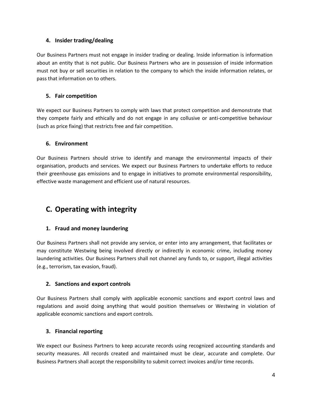#### <span id="page-4-0"></span>**4. Insider trading/dealing**

Our Business Partners must not engage in insider trading or dealing. Inside information is information about an entity that is not public. Our Business Partners who are in possession of inside information must not buy or sell securities in relation to the company to which the inside information relates, or pass that information on to others.

#### <span id="page-4-1"></span>**5. Fair competition**

We expect our Business Partners to comply with laws that protect competition and demonstrate that they compete fairly and ethically and do not engage in any collusive or anti-competitive behaviour (such as price fixing) that restricts free and fair competition.

#### <span id="page-4-2"></span>**6. Environment**

Our Business Partners should strive to identify and manage the environmental impacts of their organisation, products and services. We expect our Business Partners to undertake efforts to reduce their greenhouse gas emissions and to engage in initiatives to promote environmental responsibility, effective waste management and efficient use of natural resources.

# <span id="page-4-3"></span>**C. Operating with integrity**

#### <span id="page-4-4"></span>**1. Fraud and money laundering**

Our Business Partners shall not provide any service, or enter into any arrangement, that facilitates or may constitute Westwing being involved directly or indirectly in economic crime, including money laundering activities. Our Business Partners shall not channel any funds to, or support, illegal activities (e.g., terrorism, tax evasion, fraud).

#### <span id="page-4-5"></span>**2. Sanctions and export controls**

Our Business Partners shall comply with applicable economic sanctions and export control laws and regulations and avoid doing anything that would position themselves or Westwing in violation of applicable economic sanctions and export controls.

#### <span id="page-4-6"></span>**3. Financial reporting**

We expect our Business Partners to keep accurate records using recognized accounting standards and security measures. All records created and maintained must be clear, accurate and complete. Our Business Partners shall accept the responsibility to submit correct invoices and/or time records.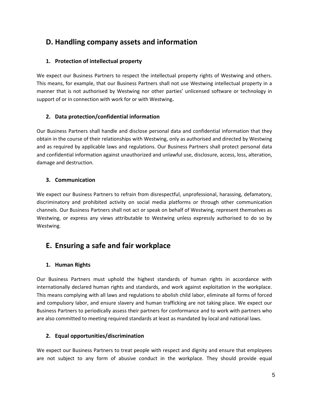# <span id="page-5-0"></span>**D. Handling company assets and information**

#### <span id="page-5-1"></span>**1. Protection of intellectual property**

We expect our Business Partners to respect the intellectual property rights of Westwing and others. This means, for example, that our Business Partners shall not use Westwing intellectual property in a manner that is not authorised by Westwing nor other parties' unlicensed software or technology in support of or in connection with work for or with Westwing**.**

#### <span id="page-5-2"></span>**2. Data protection/confidential information**

Our Business Partners shall handle and disclose personal data and confidential information that they obtain in the course of their relationships with Westwing, only as authorised and directed by Westwing and as required by applicable laws and regulations. Our Business Partners shall protect personal data and confidential information against unauthorized and unlawful use, disclosure, access, loss, alteration, damage and destruction.

#### <span id="page-5-3"></span>**3. Communication**

We expect our Business Partners to refrain from disrespectful, unprofessional, harassing, defamatory, discriminatory and prohibited activity on social media platforms or through other communication channels. Our Business Partners shall not act or speak on behalf of Westwing, represent themselves as Westwing, or express any views attributable to Westwing unless expressly authorised to do so by Westwing.

# <span id="page-5-4"></span>**E. Ensuring a safe and fair workplace**

#### <span id="page-5-5"></span>**1. Human Rights**

Our Business Partners must uphold the highest standards of human rights in accordance with internationally declared human rights and standards, and work against exploitation in the workplace. This means complying with all laws and regulations to abolish child labor, eliminate all forms of forced and compulsory labor, and ensure slavery and human trafficking are not taking place. We expect our Business Partners to periodically assess their partners for conformance and to work with partners who are also committed to meeting required standards at least as mandated by local and national laws.

#### <span id="page-5-6"></span>**2. Equal opportunities/discrimination**

We expect our Business Partners to treat people with respect and dignity and ensure that employees are not subject to any form of abusive conduct in the workplace. They should provide equal